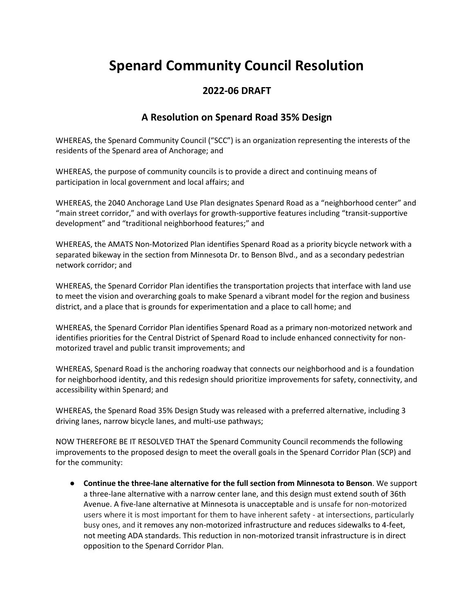## **Spenard Community Council Resolution**

## **2022-06 DRAFT**

## **A Resolution on Spenard Road 35% Design**

WHEREAS, the Spenard Community Council ("SCC") is an organization representing the interests of the residents of the Spenard area of Anchorage; and

WHEREAS, the purpose of community councils is to provide a direct and continuing means of participation in local government and local affairs; and

WHEREAS, the 2040 Anchorage Land Use Plan designates Spenard Road as a "neighborhood center" and "main street corridor," and with overlays for growth-supportive features including "transit-supportive development" and "traditional neighborhood features;" and

WHEREAS, the AMATS Non-Motorized Plan identifies Spenard Road as a priority bicycle network with a separated bikeway in the section from Minnesota Dr. to Benson Blvd., and as a secondary pedestrian network corridor; and

WHEREAS, the Spenard Corridor Plan identifies the transportation projects that interface with land use to meet the vision and overarching goals to make Spenard a vibrant model for the region and business district, and a place that is grounds for experimentation and a place to call home; and

WHEREAS, the Spenard Corridor Plan identifies Spenard Road as a primary non-motorized network and identifies priorities for the Central District of Spenard Road to include enhanced connectivity for nonmotorized travel and public transit improvements; and

WHEREAS, Spenard Road is the anchoring roadway that connects our neighborhood and is a foundation for neighborhood identity, and this redesign should prioritize improvements for safety, connectivity, and accessibility within Spenard; and

WHEREAS, the Spenard Road 35% Design Study was released with a preferred alternative, including 3 driving lanes, narrow bicycle lanes, and multi-use pathways;

NOW THEREFORE BE IT RESOLVED THAT the Spenard Community Council recommends the following improvements to the proposed design to meet the overall goals in the Spenard Corridor Plan (SCP) and for the community:

● **Continue the three-lane alternative for the full section from Minnesota to Benson**. We support a three-lane alternative with a narrow center lane, and this design must extend south of 36th Avenue. A five-lane alternative at Minnesota is unacceptable and is unsafe for non-motorized users where it is most important for them to have inherent safety - at intersections, particularly busy ones, and it removes any non-motorized infrastructure and reduces sidewalks to 4-feet, not meeting ADA standards. This reduction in non-motorized transit infrastructure is in direct opposition to the Spenard Corridor Plan.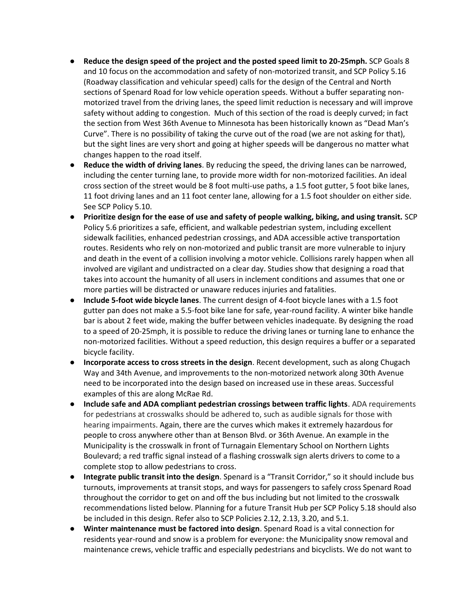- **•** Reduce the design speed of the project and the posted speed limit to 20-25mph. SCP Goals 8 and 10 focus on the accommodation and safety of non-motorized transit, and SCP Policy 5.16 (Roadway classification and vehicular speed) calls for the design of the Central and North sections of Spenard Road for low vehicle operation speeds. Without a buffer separating nonmotorized travel from the driving lanes, the speed limit reduction is necessary and will improve safety without adding to congestion. Much of this section of the road is deeply curved; in fact the section from West 36th Avenue to Minnesota has been historically known as "Dead Man's Curve". There is no possibility of taking the curve out of the road (we are not asking for that), but the sight lines are very short and going at higher speeds will be dangerous no matter what changes happen to the road itself.
- **Reduce the width of driving lanes**. By reducing the speed, the driving lanes can be narrowed, including the center turning lane, to provide more width for non-motorized facilities. An ideal cross section of the street would be 8 foot multi-use paths, a 1.5 foot gutter, 5 foot bike lanes, 11 foot driving lanes and an 11 foot center lane, allowing for a 1.5 foot shoulder on either side. See SCP Policy 5.10.
- **Prioritize design for the ease of use and safety of people walking, biking, and using transit.** SCP Policy 5.6 prioritizes a safe, efficient, and walkable pedestrian system, including excellent sidewalk facilities, enhanced pedestrian crossings, and ADA accessible active transportation routes. Residents who rely on non-motorized and public transit are more vulnerable to injury and death in the event of a collision involving a motor vehicle. Collisions rarely happen when all involved are vigilant and undistracted on a clear day. Studies show that designing a road that takes into account the humanity of all users in inclement conditions and assumes that one or more parties will be distracted or unaware reduces injuries and fatalities.
- **Include 5-foot wide bicycle lanes**. The current design of 4-foot bicycle lanes with a 1.5 foot gutter pan does not make a 5.5-foot bike lane for safe, year-round facility. A winter bike handle bar is about 2 feet wide, making the buffer between vehicles inadequate. By designing the road to a speed of 20-25mph, it is possible to reduce the driving lanes or turning lane to enhance the non-motorized facilities. Without a speed reduction, this design requires a buffer or a separated bicycle facility.
- **Incorporate access to cross streets in the design**. Recent development, such as along Chugach Way and 34th Avenue, and improvements to the non-motorized network along 30th Avenue need to be incorporated into the design based on increased use in these areas. Successful examples of this are along McRae Rd.
- **Include safe and ADA compliant pedestrian crossings between traffic lights**. ADA requirements for pedestrians at crosswalks should be adhered to, such as audible signals for those with hearing impairments. Again, there are the curves which makes it extremely hazardous for people to cross anywhere other than at Benson Blvd. or 36th Avenue. An example in the Municipality is the crosswalk in front of Turnagain Elementary School on Northern Lights Boulevard; a red traffic signal instead of a flashing crosswalk sign alerts drivers to come to a complete stop to allow pedestrians to cross.
- **Integrate public transit into the design**. Spenard is a "Transit Corridor," so it should include bus turnouts, improvements at transit stops, and ways for passengers to safely cross Spenard Road throughout the corridor to get on and off the bus including but not limited to the crosswalk recommendations listed below. Planning for a future Transit Hub per SCP Policy 5.18 should also be included in this design. Refer also to SCP Policies 2.12, 2.13, 3.20, and 5.1.
- **Winter maintenance must be factored into design**. Spenard Road is a vital connection for residents year-round and snow is a problem for everyone: the Municipality snow removal and maintenance crews, vehicle traffic and especially pedestrians and bicyclists. We do not want to